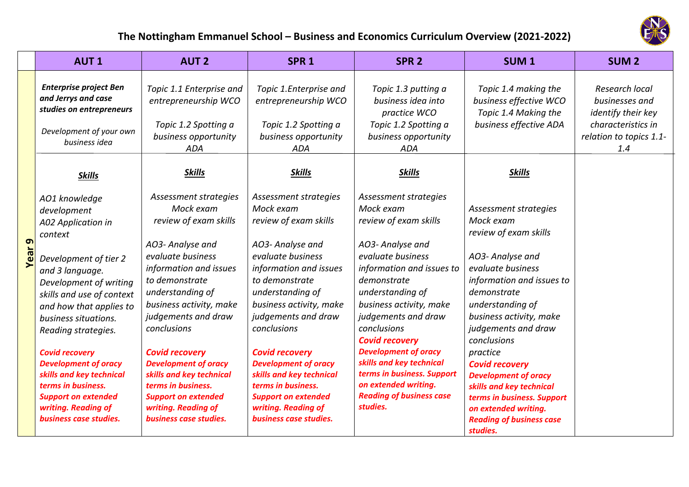

## **The Nottingham Emmanuel School – Business and Economics Curriculum Overview (2021‐2022)**

|           | <b>AUT1</b>                                                                                                                                                                                                                                                                                                                                                                                                                         | <b>AUT 2</b>                                                                                                                                                                                                                                                                                                                                                                                                                   | SPR <sub>1</sub>                                                                                                                                                                                                                                                                                                                                                                                                               | SPR <sub>2</sub>                                                                                                                                                                                                                                                                                                                                                                                                               | SUM <sub>1</sub>                                                                                                                                                                                                                                                                                                                                                                                                                           | SUM <sub>2</sub>                                                                                               |
|-----------|-------------------------------------------------------------------------------------------------------------------------------------------------------------------------------------------------------------------------------------------------------------------------------------------------------------------------------------------------------------------------------------------------------------------------------------|--------------------------------------------------------------------------------------------------------------------------------------------------------------------------------------------------------------------------------------------------------------------------------------------------------------------------------------------------------------------------------------------------------------------------------|--------------------------------------------------------------------------------------------------------------------------------------------------------------------------------------------------------------------------------------------------------------------------------------------------------------------------------------------------------------------------------------------------------------------------------|--------------------------------------------------------------------------------------------------------------------------------------------------------------------------------------------------------------------------------------------------------------------------------------------------------------------------------------------------------------------------------------------------------------------------------|--------------------------------------------------------------------------------------------------------------------------------------------------------------------------------------------------------------------------------------------------------------------------------------------------------------------------------------------------------------------------------------------------------------------------------------------|----------------------------------------------------------------------------------------------------------------|
|           | <b>Enterprise project Ben</b><br>and Jerrys and case<br>studies on entrepreneurs<br>Development of your own<br>business idea                                                                                                                                                                                                                                                                                                        | Topic 1.1 Enterprise and<br>entrepreneurship WCO<br>Topic 1.2 Spotting a<br>business opportunity<br><b>ADA</b>                                                                                                                                                                                                                                                                                                                 | Topic 1.Enterprise and<br>entrepreneurship WCO<br>Topic 1.2 Spotting a<br>business opportunity<br>ADA                                                                                                                                                                                                                                                                                                                          | Topic 1.3 putting a<br>business idea into<br>practice WCO<br>Topic 1.2 Spotting a<br>business opportunity<br><b>ADA</b>                                                                                                                                                                                                                                                                                                        | Topic 1.4 making the<br>business effective WCO<br>Topic 1.4 Making the<br>business effective ADA                                                                                                                                                                                                                                                                                                                                           | Research local<br>businesses and<br>identify their key<br>characteristics in<br>relation to topics 1.1-<br>1.4 |
|           | <b>Skills</b>                                                                                                                                                                                                                                                                                                                                                                                                                       | <b>Skills</b>                                                                                                                                                                                                                                                                                                                                                                                                                  | <b>Skills</b>                                                                                                                                                                                                                                                                                                                                                                                                                  | <b>Skills</b>                                                                                                                                                                                                                                                                                                                                                                                                                  | <b>Skills</b>                                                                                                                                                                                                                                                                                                                                                                                                                              |                                                                                                                |
| თ<br>Year | AO1 knowledge<br>development<br>A02 Application in<br>context<br>Development of tier 2<br>and 3 language.<br>Development of writing<br>skills and use of context<br>and how that applies to<br>business situations.<br>Reading strategies.<br><b>Covid recovery</b><br><b>Development of oracy</b><br>skills and key technical<br>terms in business.<br><b>Support on extended</b><br>writing. Reading of<br>business case studies. | Assessment strategies<br>Mock exam<br>review of exam skills<br>AO3- Analyse and<br>evaluate business<br>information and issues<br>to demonstrate<br>understanding of<br>business activity, make<br>judgements and draw<br>conclusions<br><b>Covid recovery</b><br><b>Development of oracy</b><br>skills and key technical<br>terms in business.<br><b>Support on extended</b><br>writing. Reading of<br>business case studies. | Assessment strategies<br>Mock exam<br>review of exam skills<br>AO3- Analyse and<br>evaluate business<br>information and issues<br>to demonstrate<br>understanding of<br>business activity, make<br>judgements and draw<br>conclusions<br><b>Covid recovery</b><br><b>Development of oracy</b><br>skills and key technical<br>terms in business.<br><b>Support on extended</b><br>writing. Reading of<br>business case studies. | Assessment strategies<br>Mock exam<br>review of exam skills<br>AO3- Analyse and<br>evaluate business<br>information and issues to<br>demonstrate<br>understanding of<br>business activity, make<br>judgements and draw<br>conclusions<br><b>Covid recovery</b><br><b>Development of oracy</b><br>skills and key technical<br>terms in business. Support<br>on extended writing.<br><b>Reading of business case</b><br>studies. | Assessment strategies<br>Mock exam<br>review of exam skills<br>AO3- Analyse and<br>evaluate business<br>information and issues to<br>demonstrate<br>understanding of<br>business activity, make<br>judgements and draw<br>conclusions<br>practice<br><b>Covid recovery</b><br><b>Development of oracy</b><br>skills and key technical<br>terms in business. Support<br>on extended writing.<br><b>Reading of business case</b><br>studies. |                                                                                                                |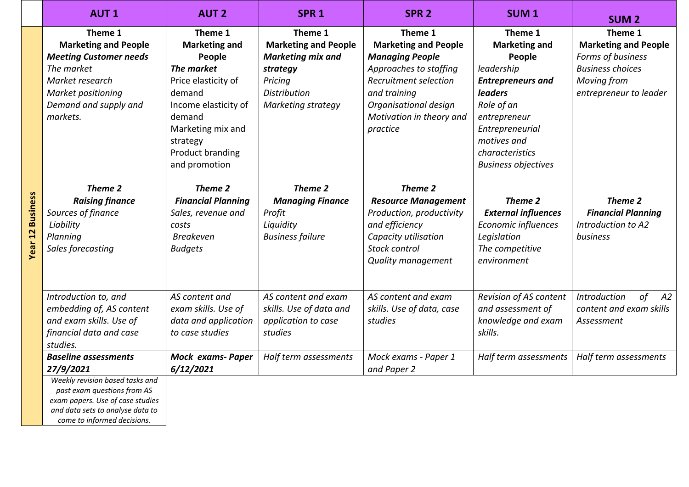|                         | <b>AUT1</b>                                                                                                                                                                                                       | <b>AUT 2</b>                                                                                                                                                                                            | SPR <sub>1</sub>                                                                                                                       | SPR <sub>2</sub>                                                                                                                                                                                     | SUM <sub>1</sub>                                                                                                                                                                                                       | <b>SUM2</b>                                                                                                                            |
|-------------------------|-------------------------------------------------------------------------------------------------------------------------------------------------------------------------------------------------------------------|---------------------------------------------------------------------------------------------------------------------------------------------------------------------------------------------------------|----------------------------------------------------------------------------------------------------------------------------------------|------------------------------------------------------------------------------------------------------------------------------------------------------------------------------------------------------|------------------------------------------------------------------------------------------------------------------------------------------------------------------------------------------------------------------------|----------------------------------------------------------------------------------------------------------------------------------------|
|                         | Theme 1<br><b>Marketing and People</b><br><b>Meeting Customer needs</b><br>The market<br>Market research<br>Market positioning<br>Demand and supply and<br>markets.                                               | Theme 1<br><b>Marketing and</b><br>People<br>The market<br>Price elasticity of<br>demand<br>Income elasticity of<br>demand<br>Marketing mix and<br>strategy<br><b>Product branding</b><br>and promotion | Theme 1<br><b>Marketing and People</b><br><b>Marketing mix and</b><br>strategy<br>Pricing<br><b>Distribution</b><br>Marketing strategy | Theme 1<br><b>Marketing and People</b><br><b>Managing People</b><br>Approaches to staffing<br>Recruitment selection<br>and training<br>Organisational design<br>Motivation in theory and<br>practice | Theme 1<br><b>Marketing and</b><br>People<br>leadership<br><b>Entrepreneurs and</b><br><b>leaders</b><br>Role of an<br>entrepreneur<br>Entrepreneurial<br>motives and<br>characteristics<br><b>Business objectives</b> | Theme 1<br><b>Marketing and People</b><br>Forms of business<br><b>Business choices</b><br><b>Moving from</b><br>entrepreneur to leader |
| <b>Year 12 Business</b> | Theme 2<br><b>Raising finance</b><br>Sources of finance<br>Liability<br>Planning<br>Sales forecasting                                                                                                             | Theme 2<br><b>Financial Planning</b><br>Sales, revenue and<br>costs<br>Breakeven<br><b>Budgets</b>                                                                                                      | Theme 2<br><b>Managing Finance</b><br>Profit<br>Liquidity<br><b>Business failure</b>                                                   | Theme 2<br><b>Resource Management</b><br>Production, productivity<br>and efficiency<br>Capacity utilisation<br>Stock control<br>Quality management                                                   | Theme 2<br><b>External influences</b><br><b>Economic influences</b><br>Legislation<br>The competitive<br>environment                                                                                                   | Theme 2<br><b>Financial Planning</b><br>Introduction to A2<br>business                                                                 |
|                         | Introduction to, and<br>embedding of, AS content<br>and exam skills. Use of<br>financial data and case<br>studies.                                                                                                | AS content and<br>exam skills. Use of<br>data and application<br>to case studies                                                                                                                        | AS content and exam<br>skills. Use of data and<br>application to case<br>studies                                                       | AS content and exam<br>skills. Use of data, case<br>studies                                                                                                                                          | Revision of AS content<br>and assessment of<br>knowledge and exam<br>skills.                                                                                                                                           | Introduction<br>of<br>A2<br>content and exam skills<br>Assessment                                                                      |
|                         | <b>Baseline assessments</b><br>27/9/2021<br>Weekly revision based tasks and<br>past exam questions from AS<br>exam papers. Use of case studies<br>and data sets to analyse data to<br>come to informed decisions. | <b>Mock exams- Paper</b><br>6/12/2021                                                                                                                                                                   | Half term assessments                                                                                                                  | Mock exams - Paper 1<br>and Paper 2                                                                                                                                                                  | Half term assessments                                                                                                                                                                                                  | Half term assessments                                                                                                                  |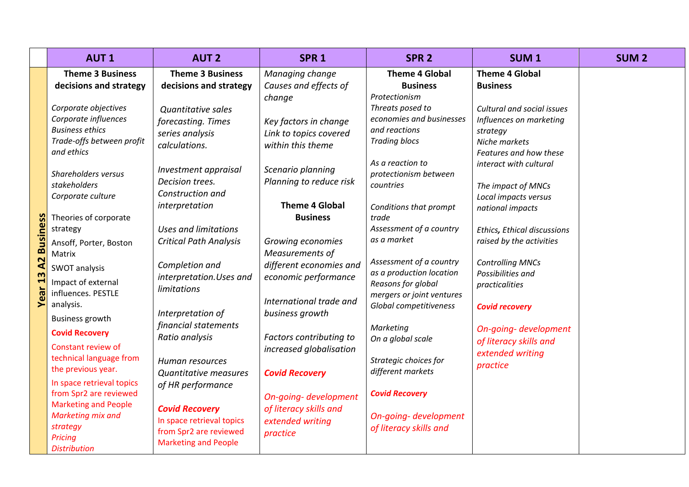|                               | <b>AUT1</b>                                                                                                                                                                                                                                                                                                                                                                                                                                                                                                                                                                                                                                                              | <b>AUT 2</b>                                                                                                                                                                                                                                                                                                                                                                                                                                                                                                                                                                                                 | SPR <sub>1</sub>                                                                                                                                                                                                                                                                                                                                                                                                                                                                                                                  | SPR <sub>2</sub>                                                                                                                                                                                                                                                                                                                                                                                                                                                                                                                                                                          | <b>SUM1</b>                                                                                                                                                                                                                                                                                                                                                                                                                                                                                   | <b>SUM2</b> |
|-------------------------------|--------------------------------------------------------------------------------------------------------------------------------------------------------------------------------------------------------------------------------------------------------------------------------------------------------------------------------------------------------------------------------------------------------------------------------------------------------------------------------------------------------------------------------------------------------------------------------------------------------------------------------------------------------------------------|--------------------------------------------------------------------------------------------------------------------------------------------------------------------------------------------------------------------------------------------------------------------------------------------------------------------------------------------------------------------------------------------------------------------------------------------------------------------------------------------------------------------------------------------------------------------------------------------------------------|-----------------------------------------------------------------------------------------------------------------------------------------------------------------------------------------------------------------------------------------------------------------------------------------------------------------------------------------------------------------------------------------------------------------------------------------------------------------------------------------------------------------------------------|-------------------------------------------------------------------------------------------------------------------------------------------------------------------------------------------------------------------------------------------------------------------------------------------------------------------------------------------------------------------------------------------------------------------------------------------------------------------------------------------------------------------------------------------------------------------------------------------|-----------------------------------------------------------------------------------------------------------------------------------------------------------------------------------------------------------------------------------------------------------------------------------------------------------------------------------------------------------------------------------------------------------------------------------------------------------------------------------------------|-------------|
| <b>Busin</b><br>A2<br>13<br>➤ | <b>Theme 3 Business</b><br>decisions and strategy<br>Corporate objectives<br>Corporate influences<br><b>Business ethics</b><br>Trade-offs between profit<br>and ethics<br>Shareholders versus<br>stakeholders<br>Corporate culture<br>Theories of corporate<br>strategy<br>Ansoff, Porter, Boston<br>Matrix<br>SWOT analysis<br>Impact of external<br>influences. PESTLE<br>analysis.<br><b>Business growth</b><br><b>Covid Recovery</b><br>Constant review of<br>technical language from<br>the previous year.<br>In space retrieval topics<br>from Spr2 are reviewed<br><b>Marketing and People</b><br>Marketing mix and<br>strategy<br>Pricing<br><b>Distribution</b> | <b>Theme 3 Business</b><br>decisions and strategy<br>Quantitative sales<br>forecasting. Times<br>series analysis<br>calculations.<br>Investment appraisal<br>Decision trees.<br>Construction and<br>interpretation<br><b>Uses and limitations</b><br><b>Critical Path Analysis</b><br>Completion and<br>interpretation. Uses and<br><b>limitations</b><br>Interpretation of<br>financial statements<br>Ratio analysis<br>Human resources<br><b>Quantitative measures</b><br>of HR performance<br><b>Covid Recovery</b><br>In space retrieval topics<br>from Spr2 are reviewed<br><b>Marketing and People</b> | Managing change<br>Causes and effects of<br>change<br>Key factors in change<br>Link to topics covered<br>within this theme<br>Scenario planning<br>Planning to reduce risk<br><b>Theme 4 Global</b><br><b>Business</b><br>Growing economies<br>Measurements of<br>different economies and<br>economic performance<br>International trade and<br>business growth<br>Factors contributing to<br>increased globalisation<br><b>Covid Recovery</b><br>On-going- development<br>of literacy skills and<br>extended writing<br>practice | <b>Theme 4 Global</b><br><b>Business</b><br>Protectionism<br>Threats posed to<br>economies and businesses<br>and reactions<br><b>Trading blocs</b><br>As a reaction to<br>protectionism between<br>countries<br>Conditions that prompt<br>trade<br>Assessment of a country<br>as a market<br>Assessment of a country<br>as a production location<br>Reasons for global<br>mergers or joint ventures<br>Global competitiveness<br>Marketing<br>On a global scale<br>Strategic choices for<br>different markets<br><b>Covid Recovery</b><br>On-going- development<br>of literacy skills and | <b>Theme 4 Global</b><br><b>Business</b><br>Cultural and social issues<br>Influences on marketing<br>strategy<br>Niche markets<br>Features and how these<br>interact with cultural<br>The impact of MNCs<br>Local impacts versus<br>national impacts<br>Ethics, Ethical discussions<br>raised by the activities<br><b>Controlling MNCs</b><br>Possibilities and<br>practicalities<br><b>Covid recovery</b><br>On-going- development<br>of literacy skills and<br>extended writing<br>practice |             |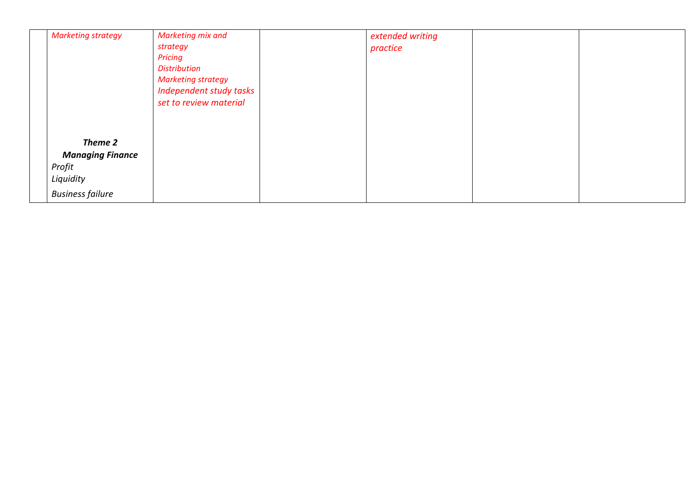| <b>Marketing strategy</b>                                                            | Marketing mix and<br>strategy<br>Pricing<br><b>Distribution</b><br><b>Marketing strategy</b><br>Independent study tasks<br>set to review material | extended writing<br>practice |  |
|--------------------------------------------------------------------------------------|---------------------------------------------------------------------------------------------------------------------------------------------------|------------------------------|--|
| Theme 2<br><b>Managing Finance</b><br>Profit<br>Liquidity<br><b>Business failure</b> |                                                                                                                                                   |                              |  |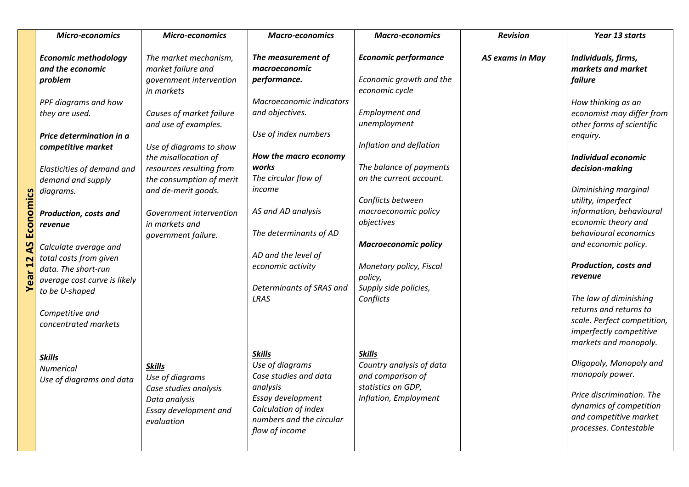|                   | <b>Micro-economics</b>       | <b>Micro-economics</b>                | <b>Macro-economics</b>   | <b>Macro-economics</b>                    | <b>Revision</b>        | Year 13 starts                            |
|-------------------|------------------------------|---------------------------------------|--------------------------|-------------------------------------------|------------------------|-------------------------------------------|
|                   | <b>Economic methodology</b>  | The market mechanism,                 | The measurement of       | <b>Economic performance</b>               | <b>AS exams in May</b> | Individuals, firms,<br>markets and market |
|                   | and the economic             | market failure and                    | macroeconomic            |                                           |                        |                                           |
|                   | problem                      | government intervention<br>in markets | performance.             | Economic growth and the<br>economic cycle |                        | failure                                   |
|                   | PPF diagrams and how         |                                       | Macroeconomic indicators |                                           |                        | How thinking as an                        |
|                   | they are used.               | Causes of market failure              | and objectives.          | <b>Employment</b> and                     |                        | economist may differ from                 |
|                   |                              | and use of examples.                  |                          | unemployment                              |                        | other forms of scientific                 |
|                   | Price determination in a     |                                       | Use of index numbers     |                                           |                        | enquiry.                                  |
|                   | competitive market           | Use of diagrams to show               |                          | Inflation and deflation                   |                        |                                           |
|                   |                              | the misallocation of                  | How the macro economy    |                                           |                        | <b>Individual economic</b>                |
|                   | Elasticities of demand and   | resources resulting from              | works                    | The balance of payments                   |                        | decision-making                           |
|                   | demand and supply            | the consumption of merit              | The circular flow of     | on the current account.                   |                        |                                           |
|                   | diagrams.                    | and de-merit goods.                   | income                   |                                           |                        | Diminishing marginal                      |
|                   |                              |                                       |                          | Conflicts between                         |                        | utility, imperfect                        |
|                   | <b>Production, costs and</b> | Government intervention               | AS and AD analysis       | macroeconomic policy                      |                        | information, behavioural                  |
| Economics         | revenue                      | in markets and                        |                          | objectives                                |                        | economic theory and                       |
|                   |                              | government failure.                   | The determinants of AD   |                                           |                        | behavioural economics                     |
| $\mathbf{S}$      | Calculate average and        |                                       |                          | <b>Macroeconomic policy</b>               |                        | and economic policy.                      |
|                   | total costs from given       |                                       | AD and the level of      |                                           |                        |                                           |
| ear <sub>12</sub> | data. The short-run          |                                       | economic activity        | Monetary policy, Fiscal                   |                        | Production, costs and                     |
|                   | average cost curve is likely |                                       |                          | policy,                                   |                        | revenue                                   |
|                   | to be U-shaped               |                                       | Determinants of SRAS and | Supply side policies,                     |                        |                                           |
|                   |                              |                                       | LRAS                     | Conflicts                                 |                        | The law of diminishing                    |
|                   | Competitive and              |                                       |                          |                                           |                        | returns and returns to                    |
|                   | concentrated markets         |                                       |                          |                                           |                        | scale. Perfect competition,               |
|                   |                              |                                       |                          |                                           |                        | imperfectly competitive                   |
|                   |                              |                                       |                          |                                           |                        | markets and monopoly.                     |
|                   | <b>Skills</b>                |                                       | <b>Skills</b>            | <b>Skills</b>                             |                        |                                           |
|                   | <b>Numerical</b>             | <b>Skills</b>                         | Use of diagrams          | Country analysis of data                  |                        | Oligopoly, Monopoly and                   |
|                   | Use of diagrams and data     | Use of diagrams                       | Case studies and data    | and comparison of                         |                        | monopoly power.                           |
|                   |                              | Case studies analysis                 | analysis                 | statistics on GDP,                        |                        | Price discrimination. The                 |
|                   |                              | Data analysis                         | Essay development        | Inflation, Employment                     |                        | dynamics of competition                   |
|                   |                              | Essay development and                 | Calculation of index     |                                           |                        | and competitive market                    |
|                   |                              | evaluation                            | numbers and the circular |                                           |                        | processes. Contestable                    |
|                   |                              |                                       | flow of income           |                                           |                        |                                           |
|                   |                              |                                       |                          |                                           |                        |                                           |

ë c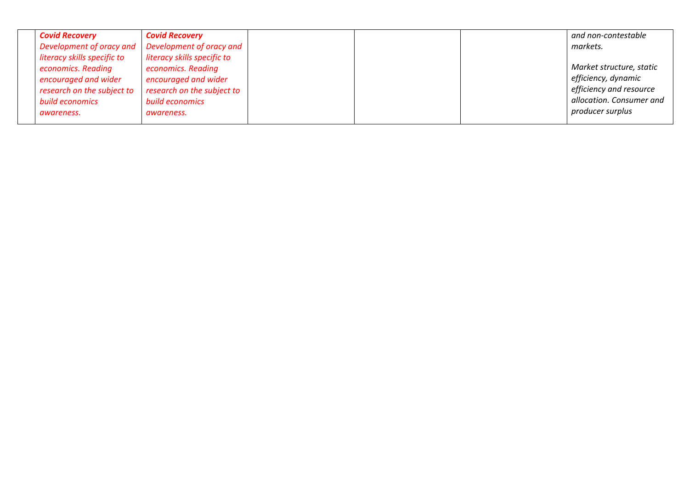| <b>Covid Recovery</b>       | <b>Covid Recovery</b>                               |  | and non-contestable      |
|-----------------------------|-----------------------------------------------------|--|--------------------------|
|                             | Development of oracy and   Development of oracy and |  | markets.                 |
| literacy skills specific to | literacy skills specific to                         |  |                          |
| economics. Reading          | economics. Reading                                  |  | Market structure, static |
| encouraged and wider        | encouraged and wider                                |  | efficiency, dynamic      |
| research on the subject to  | research on the subject to                          |  | efficiency and resource  |
| build economics             | build economics                                     |  | allocation. Consumer and |
| awareness.                  | awareness.                                          |  | producer surplus         |
|                             |                                                     |  |                          |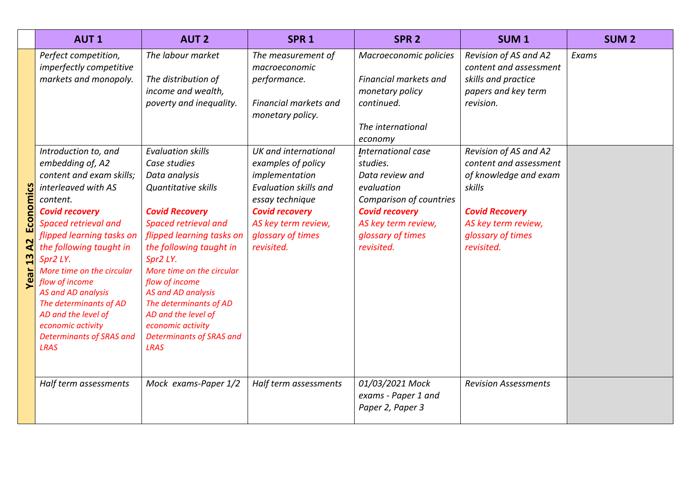|                               | <b>AUT1</b>                                                                                                                                                                                                                                                                                                                                                                                                                                                                                                         | <b>AUT 2</b>                                                                                                                                                                                                                                                                                                                                                                                                                                                                                                  | SPR <sub>1</sub>                                                                                                                                                                                                                                                                                       | SPR <sub>2</sub>                                                                                                                                                                                                                                                                                         | SUM <sub>1</sub>                                                                                                                                                                                                                                                                    | <b>SUM2</b> |
|-------------------------------|---------------------------------------------------------------------------------------------------------------------------------------------------------------------------------------------------------------------------------------------------------------------------------------------------------------------------------------------------------------------------------------------------------------------------------------------------------------------------------------------------------------------|---------------------------------------------------------------------------------------------------------------------------------------------------------------------------------------------------------------------------------------------------------------------------------------------------------------------------------------------------------------------------------------------------------------------------------------------------------------------------------------------------------------|--------------------------------------------------------------------------------------------------------------------------------------------------------------------------------------------------------------------------------------------------------------------------------------------------------|----------------------------------------------------------------------------------------------------------------------------------------------------------------------------------------------------------------------------------------------------------------------------------------------------------|-------------------------------------------------------------------------------------------------------------------------------------------------------------------------------------------------------------------------------------------------------------------------------------|-------------|
| Economics<br>A2<br>13<br>Year | Perfect competition,<br>imperfectly competitive<br>markets and monopoly.<br>Introduction to, and<br>embedding of, A2<br>content and exam skills;<br>interleaved with AS<br>content.<br><b>Covid recovery</b><br><b>Spaced retrieval and</b><br>flipped learning tasks on<br>the following taught in<br>Spr2 LY.<br>More time on the circular<br>flow of income<br><b>AS and AD analysis</b><br>The determinants of AD<br>AD and the level of<br>economic activity<br><b>Determinants of SRAS and</b><br><b>LRAS</b> | The labour market<br>The distribution of<br>income and wealth,<br>poverty and inequality.<br><b>Evaluation skills</b><br>Case studies<br>Data analysis<br><b>Quantitative skills</b><br><b>Covid Recovery</b><br><b>Spaced retrieval and</b><br>flipped learning tasks on<br>the following taught in<br>Spr2 LY.<br>More time on the circular<br>flow of income<br>AS and AD analysis<br>The determinants of AD<br>AD and the level of<br>economic activity<br><b>Determinants of SRAS and</b><br><b>LRAS</b> | The measurement of<br>macroeconomic<br>performance.<br>Financial markets and<br>monetary policy.<br>UK and international<br>examples of policy<br>implementation<br><b>Evaluation skills and</b><br>essay technique<br><b>Covid recovery</b><br>AS key term review,<br>glossary of times<br>revisited. | Macroeconomic policies<br>Financial markets and<br>monetary policy<br>continued.<br>The international<br>economy<br><b>International case</b><br>studies.<br>Data review and<br>evaluation<br>Comparison of countries<br><b>Covid recovery</b><br>AS key term review,<br>glossary of times<br>revisited. | Revision of AS and A2<br>content and assessment<br>skills and practice<br>papers and key term<br>revision.<br>Revision of AS and A2<br>content and assessment<br>of knowledge and exam<br>skills<br><b>Covid Recovery</b><br>AS key term review,<br>glossary of times<br>revisited. | Exams       |
|                               | Half term assessments                                                                                                                                                                                                                                                                                                                                                                                                                                                                                               | Mock exams-Paper 1/2                                                                                                                                                                                                                                                                                                                                                                                                                                                                                          | Half term assessments                                                                                                                                                                                                                                                                                  | 01/03/2021 Mock<br>exams - Paper 1 and<br>Paper 2, Paper 3                                                                                                                                                                                                                                               | <b>Revision Assessments</b>                                                                                                                                                                                                                                                         |             |